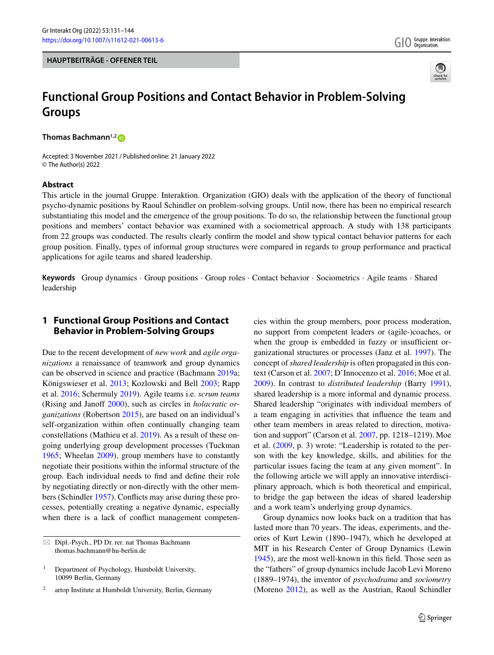



# **Functional Group Positions and Contact Behavior in Problem-Solving Groups**

**Thomas Bachmann1,2**

Accepted: 3 November 2021 / Published online: 21 January 2022 © The Author(s) 2022

## **Abstract**

This article in the journal Gruppe. Interaktion. Organization (GIO) deals with the application of the theory of functional psycho-dynamic positions by Raoul Schindler on problem-solving groups. Until now, there has been no empirical research substantiating this model and the emergence of the group positions. To do so, the relationship between the functional group positions and members' contact behavior was examined with a sociometrical approach. A study with 138 participants from 22 groups was conducted. The results clearly confirm the model and show typical contact behavior patterns for each group position. Finally, types of informal group structures were compared in regards to group performance and practical applications for agile teams and shared leadership.

**Keywords** Group dynamics · Group positions · Group roles · Contact behavior · Sociometrics · Agile teams · Shared leadership

# **1 Functional Group Positions and Contact Behavior in Problem-Solving Groups**

Due to the recent development of *new work* and *agile organizations* a renaissance of teamwork and group dynamics can be observed in science and practice (Bachmann [2019a](#page-11-0); Königswieser et al. [2013;](#page-12-0) Kozlowski and Bell [2003;](#page-12-1) Rapp et al. [2016;](#page-12-2) Schermuly [2019\)](#page-12-3). Agile teams i.e. *scrum teams* (Rising and Janoff [2000\)](#page-12-4), such as circles in *holacratic organizations* (Robertson [2015\)](#page-12-5), are based on an individual's self-organization within often continually changing team constellations (Mathieu et al. [2019\)](#page-12-6). As a result of these ongoing underlying group development processes (Tuckman [1965;](#page-12-7) Wheelan [2009\)](#page-12-8), group members have to constantly negotiate their positions within the informal structure of the group. Each individual needs to find and define their role by negotiating directly or non-directly with the other members (Schindler [1957\)](#page-12-9). Conflicts may arise during these processes, potentially creating a negative dynamic, especially when there is a lack of conflict management competen-

- Dipl.-Psych., PD Dr. rer. nat Thomas Bachmann thomas.bachmann@hu-berlin.de

cies within the group members, poor process moderation, no support from competent leaders or (agile-)coaches, or when the group is embedded in fuzzy or insufficient organizational structures or processes (Janz et al. [1997\)](#page-12-10). The concept of *shared leadership* is often propagated in this context (Carson et al. [2007;](#page-11-1) D'Innocenzo et al. [2016;](#page-11-2) Moe et al. [2009\)](#page-12-11). In contrast to *distributed leadership* (Barry [1991\)](#page-11-3), shared leadership is a more informal and dynamic process. Shared leadership "originates with individual members of a team engaging in activities that influence the team and other team members in areas related to direction, motivation and support" (Carson et al. [2007,](#page-11-1) pp. 1218–1219). Moe et al. [\(2009,](#page-12-11) p. 3) wrote: "Leadership is rotated to the person with the key knowledge, skills, and abilities for the particular issues facing the team at any given moment". In the following article we will apply an innovative interdisciplinary approach, which is both theoretical and empirical, to bridge the gap between the ideas of shared leadership and a work team's underlying group dynamics.

Group dynamics now looks back on a tradition that has lasted more than 70 years. The ideas, experiments, and theories of Kurt Lewin (1890–1947), which he developed at MIT in his Research Center of Group Dynamics (Lewin [1945\)](#page-12-12), are the most well-known in this field. Those seen as the "fathers" of group dynamics include Jacob Levi Moreno (1889–1974), the inventor of *psychodrama* and *sociometry* (Moreno [2012\)](#page-12-13), as well as the Austrian, Raoul Schindler

<sup>&</sup>lt;sup>1</sup> Department of Psychology, Humboldt University, 10099 Berlin, Germany

<sup>2</sup> artop Institute at Humboldt University, Berlin, Germany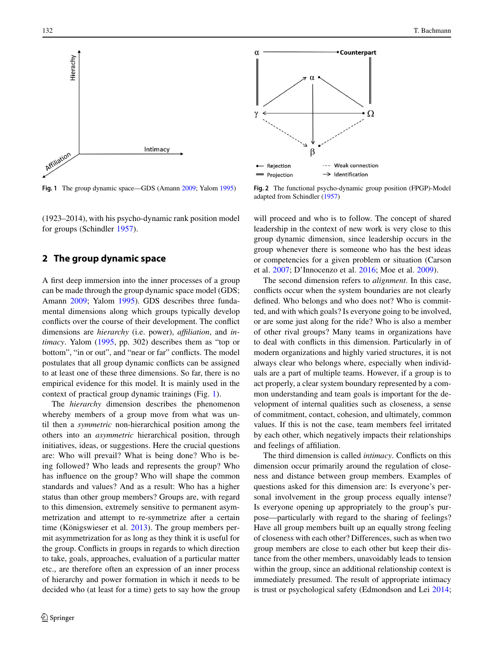

<span id="page-1-0"></span>**Fig. 1** The group dynamic space—GDS (Amann [2009;](#page-11-4) Yalom [1995\)](#page-12-14)

(1923–2014), with his psycho-dynamic rank position model for groups (Schindler [1957\)](#page-12-9).

# **2 The group dynamic space**

A first deep immersion into the inner processes of a group can be made through the group dynamic space model (GDS; Amann [2009;](#page-11-4) Yalom [1995\)](#page-12-14). GDS describes three fundamental dimensions along which groups typically develop conflicts over the course of their development. The conflict dimensions are *hierarchy* (i.e. power), *affiliation*, and *intimacy*. Yalom [\(1995,](#page-12-14) pp. 302) describes them as "top or bottom", "in or out", and "near or far" conflicts. The model postulates that all group dynamic conflicts can be assigned to at least one of these three dimensions. So far, there is no empirical evidence for this model. It is mainly used in the context of practical group dynamic trainings (Fig. [1\)](#page-1-0).

The *hierarchy* dimension describes the phenomenon whereby members of a group move from what was until then a *symmetric* non-hierarchical position among the others into an *asymmetric* hierarchical position, through initiatives, ideas, or suggestions. Here the crucial questions are: Who will prevail? What is being done? Who is being followed? Who leads and represents the group? Who has influence on the group? Who will shape the common standards and values? And as a result: Who has a higher status than other group members? Groups are, with regard to this dimension, extremely sensitive to permanent asymmetrization and attempt to re-symmetrize after a certain time (Königswieser et al. [2013\)](#page-12-0). The group members permit asymmetrization for as long as they think it is useful for the group. Conflicts in groups in regards to which direction to take, goals, approaches, evaluation of a particular matter etc., are therefore often an expression of an inner process of hierarchy and power formation in which it needs to be decided who (at least for a time) gets to say how the group



<span id="page-1-1"></span>**Fig. 2** The functional psycho-dynamic group position (FPGP)-Model adapted from Schindler [\(1957\)](#page-12-9)

will proceed and who is to follow. The concept of shared leadership in the context of new work is very close to this group dynamic dimension, since leadership occurs in the group whenever there is someone who has the best ideas or competencies for a given problem or situation (Carson et al. [2007;](#page-11-1) D'Innocenzo et al. [2016;](#page-11-2) Moe et al. [2009\)](#page-12-11).

The second dimension refers to *alignment*. In this case, conflicts occur when the system boundaries are not clearly defined. Who belongs and who does not? Who is committed, and with which goals? Is everyone going to be involved, or are some just along for the ride? Who is also a member of other rival groups? Many teams in organizations have to deal with conflicts in this dimension. Particularly in of modern organizations and highly varied structures, it is not always clear who belongs where, especially when individuals are a part of multiple teams. However, if a group is to act properly, a clear system boundary represented by a common understanding and team goals is important for the development of internal qualities such as closeness, a sense of commitment, contact, cohesion, and ultimately, common values. If this is not the case, team members feel irritated by each other, which negatively impacts their relationships and feelings of affiliation.

The third dimension is called *intimacy*. Conflicts on this dimension occur primarily around the regulation of closeness and distance between group members. Examples of questions asked for this dimension are: Is everyone's personal involvement in the group process equally intense? Is everyone opening up appropriately to the group's purpose—particularly with regard to the sharing of feelings? Have all group members built up an equally strong feeling of closeness with each other? Differences, such as when two group members are close to each other but keep their distance from the other members, unavoidably leads to tension within the group, since an additional relationship context is immediately presumed. The result of appropriate intimacy is trust or psychological safety (Edmondson and Lei [2014;](#page-11-5)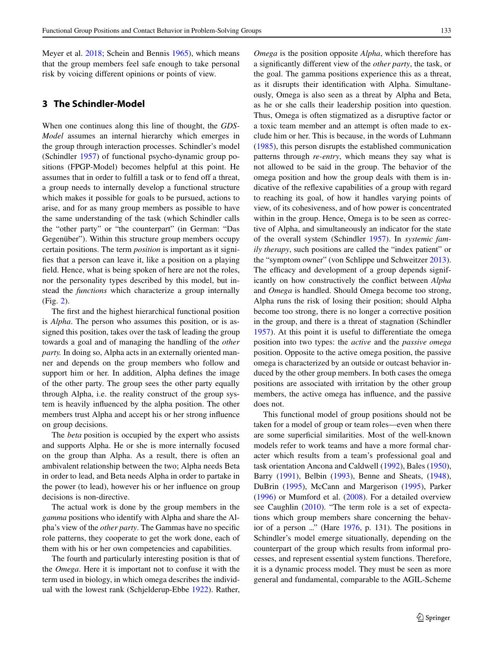Meyer et al. [2018;](#page-12-15) Schein and Bennis [1965\)](#page-12-16), which means that the group members feel safe enough to take personal risk by voicing different opinions or points of view.

# **3 The Schindler-Model**

When one continues along this line of thought, the *GDS-Model* assumes an internal hierarchy which emerges in the group through interaction processes. Schindler's model (Schindler [1957\)](#page-12-9) of functional psycho-dynamic group positions (FPGP-Model) becomes helpful at this point. He assumes that in order to fulfill a task or to fend off a threat, a group needs to internally develop a functional structure which makes it possible for goals to be pursued, actions to arise, and for as many group members as possible to have the same understanding of the task (which Schindler calls the "other party" or "the counterpart" (in German: "Das Gegenüber"). Within this structure group members occupy certain positions. The term *position* is important as it signifies that a person can leave it, like a position on a playing field. Hence, what is being spoken of here are not the roles, nor the personality types described by this model, but instead the *functions* which characterize a group internally (Fig. [2\)](#page-1-1).

The first and the highest hierarchical functional position is *Alpha*. The person who assumes this position, or is assigned this position, takes over the task of leading the group towards a goal and of managing the handling of the *other party.* In doing so, Alpha acts in an externally oriented manner and depends on the group members who follow and support him or her. In addition, Alpha defines the image of the other party. The group sees the other party equally through Alpha, i.e. the reality construct of the group system is heavily influenced by the alpha position. The other members trust Alpha and accept his or her strong influence on group decisions.

The *beta* position is occupied by the expert who assists and supports Alpha. He or she is more internally focused on the group than Alpha. As a result, there is often an ambivalent relationship between the two; Alpha needs Beta in order to lead, and Beta needs Alpha in order to partake in the power (to lead), however his or her influence on group decisions is non-directive.

The actual work is done by the group members in the *gamma* positions who identify with Alpha and share the Alpha's view of the *other party*. The Gammas have no specific role patterns, they cooperate to get the work done, each of them with his or her own competencies and capabilities.

The fourth and particularly interesting position is that of the *Omega*. Here it is important not to confuse it with the term used in biology, in which omega describes the individual with the lowest rank (Schjelderup-Ebbe [1922\)](#page-12-17). Rather, *Omega* is the position opposite *Alpha*, which therefore has a significantly different view of the *other party*, the task, or the goal. The gamma positions experience this as a threat, as it disrupts their identification with Alpha. Simultaneously, Omega is also seen as a threat by Alpha and Beta, as he or she calls their leadership position into question. Thus, Omega is often stigmatized as a disruptive factor or a toxic team member and an attempt is often made to exclude him or her. This is because, in the words of Luhmann [\(1985\)](#page-12-18), this person disrupts the established communication patterns through *re-entry*, which means they say what is not allowed to be said in the group. The behavior of the omega position and how the group deals with them is indicative of the reflexive capabilities of a group with regard to reaching its goal, of how it handles varying points of view, of its cohesiveness, and of how power is concentrated within in the group. Hence, Omega is to be seen as corrective of Alpha, and simultaneously an indicator for the state of the overall system (Schindler [1957\)](#page-12-9). In *systemic family therapy*, such positions are called the "index patient" or the "symptom owner" (von Schlippe und Schweitzer [2013\)](#page-12-19). The efficacy and development of a group depends significantly on how constructively the conflict between *Alpha* and *Omega* is handled. Should Omega become too strong, Alpha runs the risk of losing their position; should Alpha become too strong, there is no longer a corrective position in the group, and there is a threat of stagnation (Schindler [1957\)](#page-12-9). At this point it is useful to differentiate the omega position into two types: the *active* and the *passive omega* position. Opposite to the active omega position, the passive omega is characterized by an outside or outcast behavior induced by the other group members. In both cases the omega positions are associated with irritation by the other group members, the active omega has influence, and the passive does not.

This functional model of group positions should not be taken for a model of group or team roles—even when there are some superficial similarities. Most of the well-known models refer to work teams and have a more formal character which results from a team's professional goal and task orientation Ancona and Caldwell [\(1992\)](#page-11-6), Bales [\(1950\)](#page-11-7), Barry [\(1991\)](#page-11-3), Belbin [\(1993\)](#page-11-8), Benne and Sheats, [\(1948\)](#page-11-9), DuBrin [\(1995\)](#page-11-10), McCann and Margerison [\(1995\)](#page-12-20), Parker [\(1996\)](#page-12-21) or Mumford et al. [\(2008\)](#page-12-22). For a detailed overview see Caughlin [\(2010\)](#page-11-11). "The term role is a set of expectations which group members share concerning the behavior of a person ..." (Hare [1976,](#page-12-23) p. 131). The positions in Schindler's model emerge situationally, depending on the counterpart of the group which results from informal processes, and represent essential system functions. Therefore, it is a dynamic process model. They must be seen as more general and fundamental, comparable to the AGIL-Scheme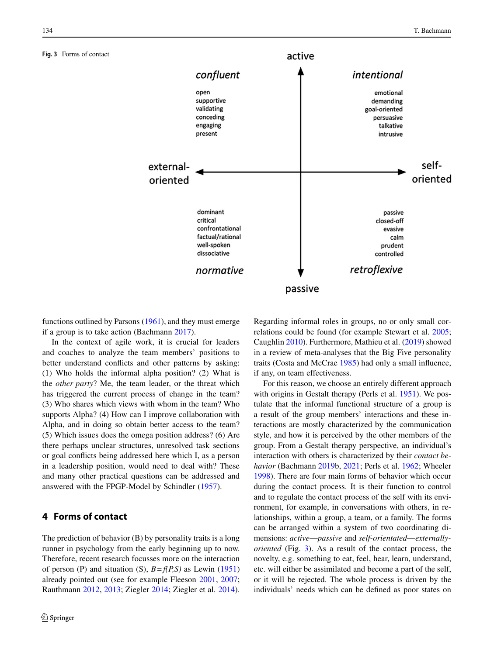<span id="page-3-0"></span>**Fig. 3** Forms of contact



functions outlined by Parsons [\(1961\)](#page-12-24), and they must emerge if a group is to take action (Bachmann [2017\)](#page-11-12).

In the context of agile work, it is crucial for leaders and coaches to analyze the team members' positions to better understand conflicts and other patterns by asking: (1) Who holds the informal alpha position? (2) What is the *other party*? Me, the team leader, or the threat which has triggered the current process of change in the team? (3) Who shares which views with whom in the team? Who supports Alpha? (4) How can I improve collaboration with Alpha, and in doing so obtain better access to the team? (5) Which issues does the omega position address? (6) Are there perhaps unclear structures, unresolved task sections or goal conflicts being addressed here which I, as a person in a leadership position, would need to deal with? These and many other practical questions can be addressed and answered with the FPGP-Model by Schindler [\(1957\)](#page-12-9).

# **4 Forms of contact**

The prediction of behavior (B) by personality traits is a long runner in psychology from the early beginning up to now. Therefore, recent research focusses more on the interaction of person (P) and situation (S),  $B = f(P,S)$  as Lewin [\(1951\)](#page-12-25) already pointed out (see for example Fleeson [2001,](#page-12-26) [2007;](#page-12-27) Rauthmann [2012,](#page-12-28) [2013;](#page-12-29) Ziegler [2014;](#page-12-30) Ziegler et al. [2014\)](#page-12-31). Regarding informal roles in groups, no or only small correlations could be found (for example Stewart et al. [2005;](#page-12-32) Caughlin [2010\)](#page-11-11). Furthermore, Mathieu et al. [\(2019\)](#page-12-6) showed in a review of meta-analyses that the Big Five personality traits (Costa and McCrae [1985\)](#page-11-13) had only a small influence, if any, on team effectiveness.

For this reason, we choose an entirely different approach with origins in Gestalt therapy (Perls et al. [1951\)](#page-12-33). We postulate that the informal functional structure of a group is a result of the group members' interactions and these interactions are mostly characterized by the communication style, and how it is perceived by the other members of the group. From a Gestalt therapy perspective, an individual's interaction with others is characterized by their *contact behavior* (Bachmann [2019b](#page-11-14), [2021;](#page-11-15) Perls et al. [1962;](#page-12-33) Wheeler [1998\)](#page-12-34). There are four main forms of behavior which occur during the contact process. It is their function to control and to regulate the contact process of the self with its environment, for example, in conversations with others, in relationships, within a group, a team, or a family. The forms can be arranged within a system of two coordinating dimensions: *active*—*passive* and *self-orientated*—*externallyoriented* (Fig. [3\)](#page-3-0). As a result of the contact process, the novelty, e.g. something to eat, feel, hear, learn, understand, etc. will either be assimilated and become a part of the self, or it will be rejected. The whole process is driven by the individuals' needs which can be defined as poor states on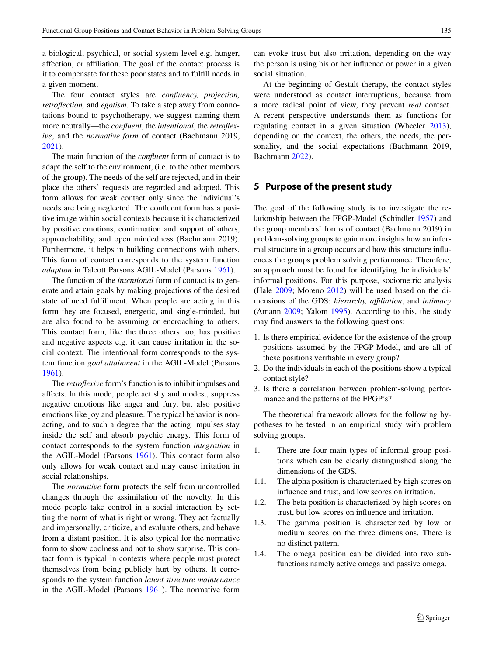a biological, psychical, or social system level e.g. hunger, affection, or affiliation. The goal of the contact process is it to compensate for these poor states and to fulfill needs in a given moment.

The four contact styles are *confluency, projection, retroflection,* and *egotism*. To take a step away from connotations bound to psychotherapy, we suggest naming them more neutrally—the *confluent*, the *intentional*, the *retroflexive*, and the *normative form* of contact (Bachmann 2019, [2021\)](#page-11-15).

The main function of the *confluent* form of contact is to adapt the self to the environment, (i.e. to the other members of the group). The needs of the self are rejected, and in their place the others' requests are regarded and adopted. This form allows for weak contact only since the individual's needs are being neglected. The confluent form has a positive image within social contexts because it is characterized by positive emotions, confirmation and support of others, approachability, and open mindedness (Bachmann 2019). Furthermore, it helps in building connections with others. This form of contact corresponds to the system function *adaption* in Talcott Parsons AGIL-Model (Parsons [1961\)](#page-12-24).

The function of the *intentional* form of contact is to generate and attain goals by making projections of the desired state of need fulfillment. When people are acting in this form they are focused, energetic, and single-minded, but are also found to be assuming or encroaching to others. This contact form, like the three others too, has positive and negative aspects e.g. it can cause irritation in the social context. The intentional form corresponds to the system function *goal attainment* in the AGIL-Model (Parsons [1961\)](#page-12-24).

The *retroflexive* form's function is to inhibit impulses and affects. In this mode, people act shy and modest, suppress negative emotions like anger and fury, but also positive emotions like joy and pleasure. The typical behavior is nonacting, and to such a degree that the acting impulses stay inside the self and absorb psychic energy. This form of contact corresponds to the system function *integration* in the AGIL-Model (Parsons [1961\)](#page-12-24). This contact form also only allows for weak contact and may cause irritation in social relationships.

The *normative* form protects the self from uncontrolled changes through the assimilation of the novelty. In this mode people take control in a social interaction by setting the norm of what is right or wrong. They act factually and impersonally, criticize, and evaluate others, and behave from a distant position. It is also typical for the normative form to show coolness and not to show surprise. This contact form is typical in contexts where people must protect themselves from being publicly hurt by others. It corresponds to the system function *latent structure maintenance* in the AGIL-Model (Parsons [1961\)](#page-12-24). The normative form can evoke trust but also irritation, depending on the way the person is using his or her influence or power in a given social situation.

At the beginning of Gestalt therapy, the contact styles were understood as contact interruptions, because from a more radical point of view, they prevent *real* contact. A recent perspective understands them as functions for regulating contact in a given situation (Wheeler [2013\)](#page-12-34), depending on the context, the others, the needs, the personality, and the social expectations (Bachmann 2019, Bachmann [2022\)](#page-11-15).

# **5 Purpose of the present study**

The goal of the following study is to investigate the relationship between the FPGP-Model (Schindler [1957\)](#page-12-9) and the group members' forms of contact (Bachmann 2019) in problem-solving groups to gain more insights how an informal structure in a group occurs and how this structure influences the groups problem solving performance. Therefore, an approach must be found for identifying the individuals' informal positions. For this purpose, sociometric analysis (Hale [2009;](#page-12-35) Moreno [2012\)](#page-12-13) will be used based on the dimensions of the GDS: *hierarchy, affiliation*, and *intimacy* (Amann [2009;](#page-11-4) Yalom [1995\)](#page-12-14). According to this, the study may find answers to the following questions:

- 1. Is there empirical evidence for the existence of the group positions assumed by the FPGP-Model, and are all of these positions verifiable in every group?
- 2. Do the individuals in each of the positions show a typical contact style?
- 3. Is there a correlation between problem-solving performance and the patterns of the FPGP's?

The theoretical framework allows for the following hypotheses to be tested in an empirical study with problem solving groups.

- 1. There are four main types of informal group positions which can be clearly distinguished along the dimensions of the GDS.
- 1.1. The alpha position is characterized by high scores on influence and trust, and low scores on irritation.
- 1.2. The beta position is characterized by high scores on trust, but low scores on influence and irritation.
- 1.3. The gamma position is characterized by low or medium scores on the three dimensions. There is no distinct pattern.
- 1.4. The omega position can be divided into two subfunctions namely active omega and passive omega.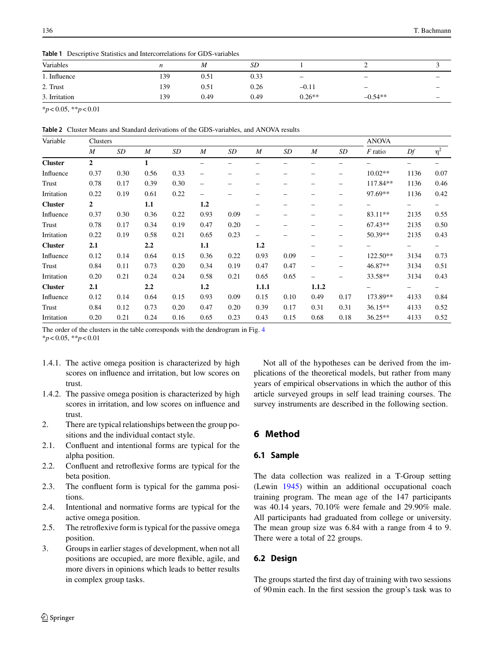<span id="page-5-0"></span>**Table 1** Descriptive Statistics and Intercorrelations for GDS-variables

| Variables     | n   | M         | SD   |                 |                          |                          |
|---------------|-----|-----------|------|-----------------|--------------------------|--------------------------|
| 1. Influence  | 139 | $_{0.51}$ | 0.33 | $\qquad \qquad$ | $\overline{\phantom{0}}$ | $\overline{\phantom{0}}$ |
| 2. Trust      | 139 | 0.51      | 0.26 | $-0.11$         | $\overline{\phantom{0}}$ | $\overline{\phantom{0}}$ |
| 3. Irritation | 139 | 0.49      | 0.49 | $0.26**$        | $-0.54**$                | $\overline{\phantom{m}}$ |

\**p*< 0.05, \*\**p*< 0.01

<span id="page-5-1"></span>**Table 2** Cluster Means and Standard derivations of the GDS-variables, and ANOVA results

| Variable       | Clusters         |      |              |      |                          |      |                          |      |                          |      | <b>ANOVA</b> |      |          |
|----------------|------------------|------|--------------|------|--------------------------|------|--------------------------|------|--------------------------|------|--------------|------|----------|
|                | $\boldsymbol{M}$ | SD   | M            | SD   | $\overline{M}$           | SD   | M                        | SD   | $\boldsymbol{M}$         | SD   | $F$ ratio    | Df   | $\eta^2$ |
| <b>Cluster</b> | $\overline{2}$   |      | $\mathbf{1}$ |      |                          |      |                          |      |                          |      |              |      |          |
| Influence      | 0.37             | 0.30 | 0.56         | 0.33 | $\overline{\phantom{0}}$ | -    |                          |      |                          |      | $10.02**$    | 1136 | 0.07     |
| Trust          | 0.78             | 0.17 | 0.39         | 0.30 | $\overline{\phantom{0}}$ |      |                          |      |                          |      | 117.84**     | 1136 | 0.46     |
| Irritation     | 0.22             | 0.19 | 0.61         | 0.22 | $\overline{\phantom{0}}$ |      |                          |      |                          |      | 97.69**      | 1136 | 0.42     |
| <b>Cluster</b> | 2                |      | 1.1          |      | 1.2                      |      |                          |      |                          |      |              | -    |          |
| Influence      | 0.37             | 0.30 | 0.36         | 0.22 | 0.93                     | 0.09 | -                        |      |                          |      | 83.11**      | 2135 | 0.55     |
| Trust          | 0.78             | 0.17 | 0.34         | 0.19 | 0.47                     | 0.20 | $\overline{\phantom{0}}$ |      |                          |      | $67.43**$    | 2135 | 0.50     |
| Irritation     | 0.22             | 0.19 | 0.58         | 0.21 | 0.65                     | 0.23 |                          |      |                          |      | 50.39**      | 2135 | 0.43     |
| <b>Cluster</b> | 2.1              |      | 2.2          |      | 1.1                      |      | 1.2                      |      |                          |      |              | -    | -        |
| Influence      | 0.12             | 0.14 | 0.64         | 0.15 | 0.36                     | 0.22 | 0.93                     | 0.09 | $\overline{\phantom{0}}$ |      | 122.50**     | 3134 | 0.73     |
| Trust          | 0.84             | 0.11 | 0.73         | 0.20 | 0.34                     | 0.19 | 0.47                     | 0.47 | $\overline{\phantom{0}}$ |      | 46.87**      | 3134 | 0.51     |
| Irritation     | 0.20             | 0.21 | 0.24         | 0.24 | 0.58                     | 0.21 | 0.65                     | 0.65 | $\overline{\phantom{0}}$ |      | 33.58**      | 3134 | 0.43     |
| <b>Cluster</b> | 2.1              |      | 2.2          |      | 1.2                      |      | 1.1.1                    |      | 1.1.2                    |      |              | -    | —        |
| Influence      | 0.12             | 0.14 | 0.64         | 0.15 | 0.93                     | 0.09 | 0.15                     | 0.10 | 0.49                     | 0.17 | 173.89**     | 4133 | 0.84     |
| Trust          | 0.84             | 0.12 | 0.73         | 0.20 | 0.47                     | 0.20 | 0.39                     | 0.17 | 0.31                     | 0.31 | $36.15**$    | 4133 | 0.52     |
| Irritation     | 0.20             | 0.21 | 0.24         | 0.16 | 0.65                     | 0.23 | 0.43                     | 0.15 | 0.68                     | 0.18 | $36.25**$    | 4133 | 0.52     |

The order of the clusters in the table corresponds with the dendrogram in Fig. [4](#page-6-0)

\**p*< 0.05, \*\**p*< 0.01

- 1.4.1. The active omega position is characterized by high scores on influence and irritation, but low scores on trust.
- 1.4.2. The passive omega position is characterized by high scores in irritation, and low scores on influence and trust.
- 2. There are typical relationships between the group positions and the individual contact style.
- 2.1. Confluent and intentional forms are typical for the alpha position.
- 2.2. Confluent and retroflexive forms are typical for the beta position.
- 2.3. The confluent form is typical for the gamma positions.
- 2.4. Intentional and normative forms are typical for the active omega position.
- 2.5. The retroflexive form is typical for the passive omega position.
- 3. Groups in earlier stages of development, when not all positions are occupied, are more flexible, agile, and more divers in opinions which leads to better results in complex group tasks.

Not all of the hypotheses can be derived from the implications of the theoretical models, but rather from many years of empirical observations in which the author of this article surveyed groups in self lead training courses. The survey instruments are described in the following section.

# **6 Method**

# **6.1 Sample**

The data collection was realized in a T-Group setting (Lewin [1945\)](#page-12-12) within an additional occupational coach training program. The mean age of the 147 participants was 40.14 years, 70.10% were female and 29.90% male. All participants had graduated from college or university. The mean group size was 6.84 with a range from 4 to 9. There were a total of 22 groups.

# **6.2 Design**

The groups started the first day of training with two sessions of 90min each. In the first session the group's task was to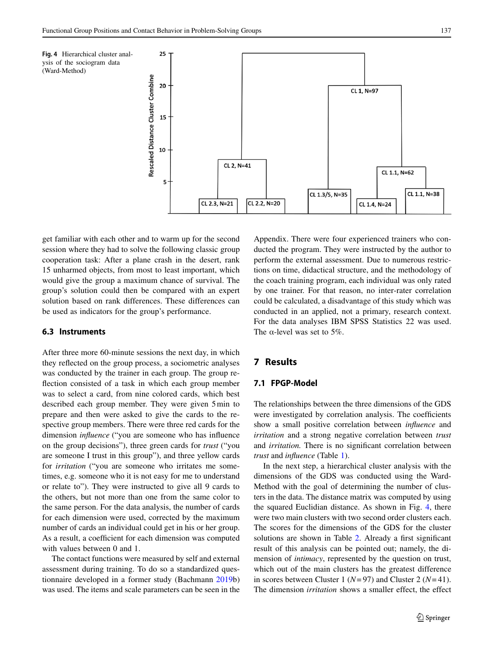<span id="page-6-0"></span>

get familiar with each other and to warm up for the second session where they had to solve the following classic group cooperation task: After a plane crash in the desert, rank 15 unharmed objects, from most to least important, which would give the group a maximum chance of survival. The group's solution could then be compared with an expert solution based on rank differences. These differences can be used as indicators for the group's performance.

#### **6.3 Instruments**

After three more 60-minute sessions the next day, in which they reflected on the group process, a sociometric analyses was conducted by the trainer in each group. The group reflection consisted of a task in which each group member was to select a card, from nine colored cards, which best described each group member. They were given 5min to prepare and then were asked to give the cards to the respective group members. There were three red cards for the dimension *influence* ("you are someone who has influence on the group decisions"), three green cards for *trust* ("you are someone I trust in this group"), and three yellow cards for *irritation* ("you are someone who irritates me sometimes, e.g. someone who it is not easy for me to understand or relate to"). They were instructed to give all 9 cards to the others, but not more than one from the same color to the same person. For the data analysis, the number of cards for each dimension were used, corrected by the maximum number of cards an individual could get in his or her group. As a result, a coefficient for each dimension was computed with values between 0 and 1.

The contact functions were measured by self and external assessment during training. To do so a standardized questionnaire developed in a former study (Bachmann [2019b](#page-11-14)) was used. The items and scale parameters can be seen in the

Appendix. There were four experienced trainers who conducted the program. They were instructed by the author to perform the external assessment. Due to numerous restrictions on time, didactical structure, and the methodology of the coach training program, each individual was only rated by one trainer. For that reason, no inter-rater correlation could be calculated, a disadvantage of this study which was conducted in an applied, not a primary, research context. For the data analyses IBM SPSS Statistics 22 was used. The  $\alpha$ -level was set to 5%.

# **7 Results**

# **7.1 FPGP-Model**

The relationships between the three dimensions of the GDS were investigated by correlation analysis. The coefficients show a small positive correlation between *influence* and *irritation* and a strong negative correlation between *trust* and *irritation.* There is no significant correlation between *trust* and *influence* (Table [1\)](#page-5-0).

In the next step, a hierarchical cluster analysis with the dimensions of the GDS was conducted using the Ward-Method with the goal of determining the number of clusters in the data. The distance matrix was computed by using the squared Euclidian distance. As shown in Fig. [4,](#page-6-0) there were two main clusters with two second order clusters each. The scores for the dimensions of the GDS for the cluster solutions are shown in Table [2.](#page-5-1) Already a first significant result of this analysis can be pointed out; namely, the dimension of *intimacy*, represented by the question on trust, which out of the main clusters has the greatest difference in scores between Cluster 1 (*N*= 97) and Cluster 2 (*N*= 41). The dimension *irritation* shows a smaller effect, the effect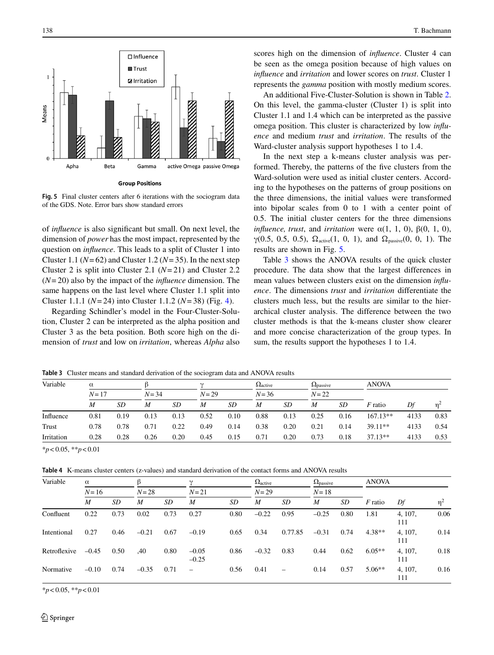

<span id="page-7-0"></span>**Fig. 5** Final cluster centers after 6 iterations with the sociogram data of the GDS. Note. Error bars show standard errors

of *influence* is also significant but small. On next level, the dimension of *power* has the most impact, represented by the question on *influence*. This leads to a split of Cluster 1 into Cluster 1.1 ( $N=62$ ) and Cluster 1.2 ( $N=35$ ). In the next step Cluster 2 is split into Cluster 2.1 (*N*= 21) and Cluster 2.2 (*N*= 20) also by the impact of the *influence* dimension. The same happens on the last level where Cluster 1.1 split into Cluster 1.1.1 (*N*= 24) into Cluster 1.1.2 (*N*= 38) (Fig. [4\)](#page-6-0).

Regarding Schindler's model in the Four-Cluster-Solution, Cluster 2 can be interpreted as the alpha position and Cluster 3 as the beta position. Both score high on the dimension of *trust* and low on *irritation*, whereas *Alpha* also scores high on the dimension of *influence*. Cluster 4 can be seen as the omega position because of high values on *influence* and *irritation* and lower scores on *trust*. Cluster 1 represents the *gamma* position with mostly medium scores.

An additional Five-Cluster-Solution is shown in Table [2.](#page-5-1) On this level, the gamma-cluster (Cluster 1) is split into Cluster 1.1 and 1.4 which can be interpreted as the passive omega position. This cluster is characterized by low *influence* and medium *trust* and *irritation*. The results of the Ward-cluster analysis support hypotheses 1 to 1.4.

In the next step a k-means cluster analysis was performed. Thereby, the patterns of the five clusters from the Ward-solution were used as initial cluster centers. According to the hypotheses on the patterns of group positions on the three dimensions, the initial values were transformed into bipolar scales from 0 to 1 with a center point of 0.5. The initial cluster centers for the three dimensions *influence, trust, and irritation* were  $\alpha(1, 1, 0)$ ,  $\beta(0, 1, 0)$ , γ(0.5, 0.5, 0.5),  $Ω_{\text{active}}(1, 0, 1)$ , and  $Ω_{\text{passive}}(0, 0, 1)$ . The results are shown in Fig. [5.](#page-7-0)

Table [3](#page-7-1) shows the ANOVA results of the quick cluster procedure. The data show that the largest differences in mean values between clusters exist on the dimension *influence*. The dimensions *trust* and *irritation* differentiate the clusters much less, but the results are similar to the hierarchical cluster analysis. The difference between the two cluster methods is that the k-means cluster show clearer and more concise characterization of the group types. In sum, the results support the hypotheses 1 to 1.4.

<span id="page-7-1"></span>**Table 3** Cluster means and standard derivation of the sociogram data and ANOVA results

| Variable   | $\alpha$ |      |          |      | $\sim$ |      | $\Omega_{\text{active}}$ |      | $\Omega_{\text{passive}}$ |      | <b>ANOVA</b>   |      |                |
|------------|----------|------|----------|------|--------|------|--------------------------|------|---------------------------|------|----------------|------|----------------|
|            | $N = 17$ |      | $N = 34$ |      | $N=29$ |      | $N = 36$                 |      | $N = 22$                  |      |                |      |                |
|            | M        | SD   | M        | SD   | M      | SD   | M                        | SD   | M                         | SD   | <i>F</i> ratio | Df   | n <sup>2</sup> |
| Influence  | 0.81     | 0.19 | 0.13     | 0.13 | 0.52   | 0.10 | 0.88                     | 0.13 | 0.25                      | 0.16 | $167.13**$     | 4133 | 0.83           |
| Trust      | 0.78     | 0.78 | 0.71     | 0.22 | 0.49   | 0.14 | 0.38                     | 0.20 | 0.21                      | 0.14 | $39.11**$      | 4133 | 0.54           |
| Irritation | 0.28     | 0.28 | 0.26     | 0.20 | 0.45   | 0.15 | 0.71                     | 0.20 | 0.73                      | 0.18 | $37.13**$      | 4133 | 0.53           |

\**p*< 0.05, \*\**p*< 0.01

<span id="page-7-2"></span>**Table 4** K-means cluster centers (z-values) and standard derivation of the contact forms and ANOVA results

| Variable     | $\alpha$         |                            |         |      | $\sim$                   |      | $\Omega_{\text{active}}$ |         | $\Omega_{\text{passive}}$ |      | <b>ANOVA</b> |                |          |
|--------------|------------------|----------------------------|---------|------|--------------------------|------|--------------------------|---------|---------------------------|------|--------------|----------------|----------|
|              | $N = 16$         | $N=21$<br>$N=29$<br>$N=28$ |         |      | $N=18$                   |      |                          |         |                           |      |              |                |          |
|              | $\boldsymbol{M}$ | <b>SD</b>                  | M       | SD   | $\boldsymbol{M}$         | SD   | M                        | SD      | M                         | SD   | $F$ ratio    | Df             | $\eta^2$ |
| Confluent    | 0.22             | 0.73                       | 0.02    | 0.73 | 0.27                     | 0.80 | $-0.22$                  | 0.95    | $-0.25$                   | 0.80 | 1.81         | 4, 107,<br>111 | 0.06     |
| Intentional  | 0.27             | 0.46                       | $-0.21$ | 0.67 | $-0.19$                  | 0.65 | 0.34                     | 0.77.85 | $-0.31$                   | 0.74 | $4.38**$     | 4, 107,<br>111 | 0.14     |
| Retroflexive | $-0.45$          | 0.50                       | .40     | 0.80 | $-0.05$<br>$-0.25$       | 0.86 | $-0.32$                  | 0.83    | 0.44                      | 0.62 | $6.05**$     | 4, 107,<br>111 | 0.18     |
| Normative    | $-0.10$          | 0.74                       | $-0.35$ | 0.71 | $\overline{\phantom{0}}$ | 0.56 | 0.41                     | -       | 0.14                      | 0.57 | $5.06**$     | 4, 107,<br>111 | 0.16     |

\**p*< 0.05, \*\**p*< 0.01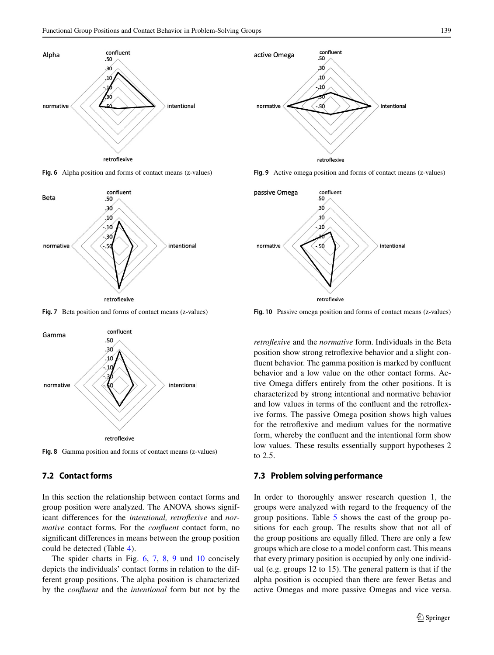

<span id="page-8-0"></span>**Fig. 6** Alpha position and forms of contact means (z-values)



<span id="page-8-1"></span>**Fig. 7** Beta position and forms of contact means (z-values)



<span id="page-8-2"></span>**Fig. 8** Gamma position and forms of contact means (z-values)

## **7.2 Contact forms**

In this section the relationship between contact forms and group position were analyzed. The ANOVA shows significant differences for the *intentional, retroflexive* and *normative* contact forms*.* For the *confluent* contact form, no significant differences in means between the group position could be detected (Table [4\)](#page-7-2).

The spider charts in Fig. [6,](#page-8-0) [7,](#page-8-1) [8,](#page-8-2) [9](#page-8-3) und [10](#page-8-4) concisely depicts the individuals' contact forms in relation to the different group positions. The alpha position is characterized by the *confluent* and the *intentional* form but not by the



<span id="page-8-3"></span>**Fig. 9** Active omega position and forms of contact means (z-values)



<span id="page-8-4"></span>**Fig. 10** Passive omega position and forms of contact means (z-values)

*retroflexive* and the *normative* form. Individuals in the Beta position show strong retroflexive behavior and a slight confluent behavior. The gamma position is marked by confluent behavior and a low value on the other contact forms. Active Omega differs entirely from the other positions. It is characterized by strong intentional and normative behavior and low values in terms of the confluent and the retroflexive forms. The passive Omega position shows high values for the retroflexive and medium values for the normative form, whereby the confluent and the intentional form show low values. These results essentially support hypotheses 2 to 2.5.

#### **7.3 Problem solving performance**

In order to thoroughly answer research question 1, the groups were analyzed with regard to the frequency of the group positions. Table [5](#page-9-0) shows the cast of the group positions for each group. The results show that not all of the group positions are equally filled. There are only a few groups which are close to a model conform cast. This means that every primary position is occupied by only one individual (e.g. groups 12 to 15). The general pattern is that if the alpha position is occupied than there are fewer Betas and active Omegas and more passive Omegas and vice versa.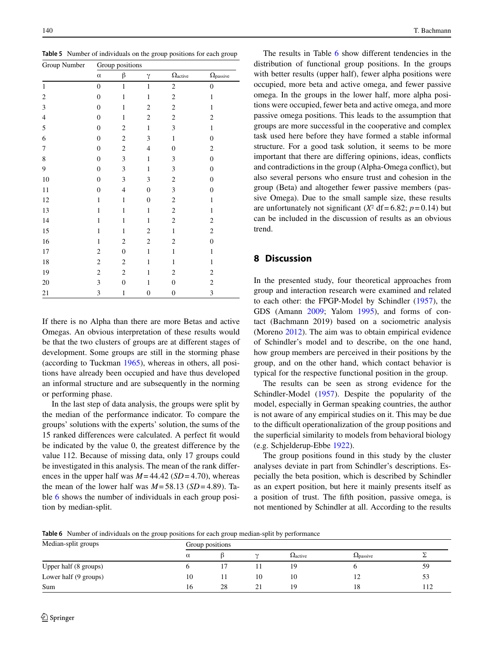<span id="page-9-0"></span>**Table 5** Number of individuals on the group positions for each group

| Group Number   |                  | Group positions  |                  |                          |                           |
|----------------|------------------|------------------|------------------|--------------------------|---------------------------|
|                | $\alpha$         | β                | $\gamma$         | $\Omega_{\text{active}}$ | $\Omega_{\text{passive}}$ |
| $\mathbf{1}$   | $\boldsymbol{0}$ | $\mathbf{1}$     | $\,1\,$          | $\sqrt{2}$               | $\boldsymbol{0}$          |
| $\overline{c}$ | $\boldsymbol{0}$ | $\mathbf{1}$     | $\,1\,$          | $\sqrt{2}$               | $\mathbf{1}$              |
| $\mathfrak{Z}$ | $\boldsymbol{0}$ | $\mathbf{1}$     | $\mathbf{2}$     | $\sqrt{2}$               | $\mathbf{1}$              |
| $\overline{4}$ | $\boldsymbol{0}$ | $\mathbf{1}$     | $\overline{c}$   | $\sqrt{2}$               | $\overline{c}$            |
| 5              | $\boldsymbol{0}$ | $\sqrt{2}$       | $\,1\,$          | $\mathfrak{Z}$           | $\mathbf{1}$              |
| 6              | $\boldsymbol{0}$ | $\boldsymbol{2}$ | 3                | $\mathbf{1}$             | $\boldsymbol{0}$          |
| 7              | $\boldsymbol{0}$ | $\sqrt{2}$       | $\overline{4}$   | $\boldsymbol{0}$         | $\overline{c}$            |
| 8              | $\boldsymbol{0}$ | 3                | $\,1\,$          | $\mathfrak{Z}$           | $\boldsymbol{0}$          |
| 9              | $\boldsymbol{0}$ | $\mathfrak{Z}$   | $\mathbf{1}$     | $\mathfrak{Z}$           | $\boldsymbol{0}$          |
| 10             | $\boldsymbol{0}$ | 3                | 3                | $\sqrt{2}$               | $\boldsymbol{0}$          |
| 11             | $\boldsymbol{0}$ | $\overline{4}$   | $\boldsymbol{0}$ | $\mathfrak{Z}$           | $\boldsymbol{0}$          |
| 12             | $\mathbf{1}$     | $\,1$            | $\boldsymbol{0}$ | $\sqrt{2}$               | $\,1\,$                   |
| 13             | $\mathbf{1}$     | $\mathbf{1}$     | $\,1$            | $\sqrt{2}$               | $\mathbf{1}$              |
| 14             | $\mathbf{1}$     | $\mathbf{1}$     | $\mathbf{1}$     | $\sqrt{2}$               | $\sqrt{2}$                |
| 15             | $\mathbf{1}$     | $\mathbf{1}$     | $\overline{c}$   | $\mathbf{1}$             | $\overline{c}$            |
| 16             | $\mathbf{1}$     | $\overline{c}$   | $\overline{c}$   | $\sqrt{2}$               | $\boldsymbol{0}$          |
| 17             | $\boldsymbol{2}$ | $\boldsymbol{0}$ | $\mathbf{1}$     | $\mathbf{1}$             | $\mathbf{1}$              |
| 18             | $\sqrt{2}$       | $\sqrt{2}$       | $\,1$            | $\mathbf{1}$             | $\mathbf{1}$              |
| 19             | $\sqrt{2}$       | $\boldsymbol{2}$ | $\mathbf{1}$     | $\sqrt{2}$               | $\sqrt{2}$                |
| $20\,$         | 3                | $\boldsymbol{0}$ | $\mathbf{1}$     | $\boldsymbol{0}$         | $\overline{c}$            |
| 21             | 3                | $\mathbf{1}$     | $\boldsymbol{0}$ | $\boldsymbol{0}$         | 3                         |

If there is no Alpha than there are more Betas and active Omegas. An obvious interpretation of these results would be that the two clusters of groups are at different stages of development. Some groups are still in the storming phase (according to Tuckman [1965\)](#page-12-7), whereas in others, all positions have already been occupied and have thus developed an informal structure and are subsequently in the norming or performing phase.

In the last step of data analysis, the groups were split by the median of the performance indicator. To compare the groups' solutions with the experts' solution, the sums of the 15 ranked differences were calculated. A perfect fit would be indicated by the value 0, the greatest difference by the value 112. Because of missing data, only 17 groups could be investigated in this analysis. The mean of the rank differences in the upper half was  $M = 44.42$  (*SD* = 4.70), whereas the mean of the lower half was  $M = 58.13$  (*SD* = 4.89). Table [6](#page-9-1) shows the number of individuals in each group position by median-split.

The results in Table [6](#page-9-1) show different tendencies in the distribution of functional group positions. In the groups with better results (upper half), fewer alpha positions were occupied, more beta and active omega, and fewer passive omega. In the groups in the lower half, more alpha positions were occupied, fewer beta and active omega, and more passive omega positions. This leads to the assumption that groups are more successful in the cooperative and complex task used here before they have formed a stable informal structure. For a good task solution, it seems to be more important that there are differing opinions, ideas, conflicts and contradictions in the group (Alpha-Omega conflict), but also several persons who ensure trust and cohesion in the group (Beta) and altogether fewer passive members (passive Omega). Due to the small sample size, these results are unfortunately not significant  $(X^2 df = 6.82; p = 0.14)$  but can be included in the discussion of results as an obvious trend.

# **8 Discussion**

In the presented study, four theoretical approaches from group and interaction research were examined and related to each other: the FPGP-Model by Schindler [\(1957\)](#page-12-9), the GDS (Amann [2009;](#page-11-4) Yalom [1995\)](#page-12-14), and forms of contact (Bachmann 2019) based on a sociometric analysis (Moreno [2012\)](#page-12-13). The aim was to obtain empirical evidence of Schindler's model and to describe, on the one hand, how group members are perceived in their positions by the group, and on the other hand, which contact behavior is typical for the respective functional position in the group.

The results can be seen as strong evidence for the Schindler-Model [\(1957\)](#page-12-9). Despite the popularity of the model, especially in German speaking countries, the author is not aware of any empirical studies on it. This may be due to the difficult operationalization of the group positions and the superficial similarity to models from behavioral biology (e.g. Schjelderup-Ebbe [1922\)](#page-12-17).

The group positions found in this study by the cluster analyses deviate in part from Schindler's descriptions. Especially the beta position, which is described by Schindler as an expert position, but here it mainly presents itself as a position of trust. The fifth position, passive omega, is not mentioned by Schindler at all. According to the results

<span id="page-9-1"></span>**Table 6** Number of individuals on the group positions for each group median-split by performance

| Median-split groups   | Group positions |    |    |                          |                   |     |  |  |  |  |
|-----------------------|-----------------|----|----|--------------------------|-------------------|-----|--|--|--|--|
|                       | $\alpha$        |    |    | $\Omega_{\text{active}}$ | <b>S</b> 2passive |     |  |  |  |  |
| Upper half (8 groups) |                 |    |    | 19                       |                   | 59  |  |  |  |  |
| Lower half (9 groups) | 10              |    | 10 | 10                       |                   | 53  |  |  |  |  |
| Sum                   | 16              | 28 | ∠⊥ | 19                       | 18                | 112 |  |  |  |  |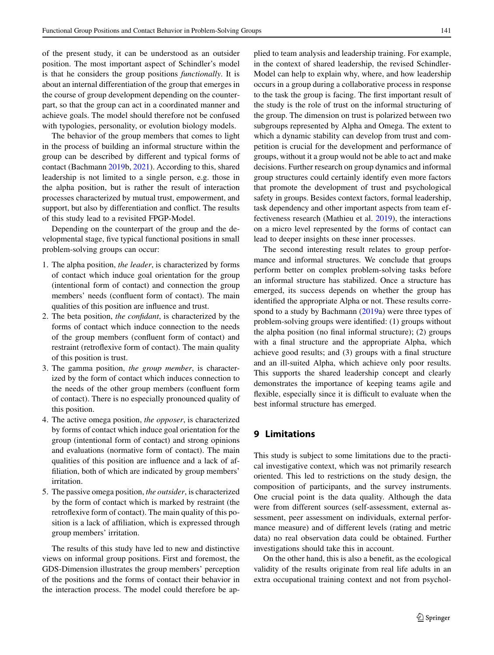of the present study, it can be understood as an outsider position. The most important aspect of Schindler's model is that he considers the group positions *functionally*. It is about an internal differentiation of the group that emerges in the course of group development depending on the counterpart, so that the group can act in a coordinated manner and achieve goals. The model should therefore not be confused with typologies, personality, or evolution biology models.

The behavior of the group members that comes to light in the process of building an informal structure within the group can be described by different and typical forms of contact (Bachmann [2019b](#page-11-14), [2021\)](#page-11-15). According to this, shared leadership is not limited to a single person, e.g. those in the alpha position, but is rather the result of interaction processes characterized by mutual trust, empowerment, and support, but also by differentiation and conflict. The results of this study lead to a revisited FPGP-Model.

Depending on the counterpart of the group and the developmental stage, five typical functional positions in small problem-solving groups can occur:

- 1. The alpha position, *the leader*, is characterized by forms of contact which induce goal orientation for the group (intentional form of contact) and connection the group members' needs (confluent form of contact). The main qualities of this position are influence and trust.
- 2. The beta position, *the confidant*, is characterized by the forms of contact which induce connection to the needs of the group members (confluent form of contact) and restraint (retroflexive form of contact). The main quality of this position is trust.
- 3. The gamma position, *the group member*, is characterized by the form of contact which induces connection to the needs of the other group members (confluent form of contact). There is no especially pronounced quality of this position.
- 4. The active omega position, *the opposer*, is characterized by forms of contact which induce goal orientation for the group (intentional form of contact) and strong opinions and evaluations (normative form of contact). The main qualities of this position are influence and a lack of affiliation, both of which are indicated by group members' irritation.
- 5. The passive omega position, *the outsider*, is characterized by the form of contact which is marked by restraint (the retroflexive form of contact). The main quality of this position is a lack of affiliation, which is expressed through group members' irritation.

The results of this study have led to new and distinctive views on informal group positions. First and foremost, the GDS-Dimension illustrates the group members' perception of the positions and the forms of contact their behavior in the interaction process. The model could therefore be applied to team analysis and leadership training. For example, in the context of shared leadership, the revised Schindler-Model can help to explain why, where, and how leadership occurs in a group during a collaborative process in response to the task the group is facing. The first important result of the study is the role of trust on the informal structuring of the group. The dimension on trust is polarized between two subgroups represented by Alpha and Omega. The extent to which a dynamic stability can develop from trust and competition is crucial for the development and performance of groups, without it a group would not be able to act and make decisions. Further research on group dynamics and informal group structures could certainly identify even more factors that promote the development of trust and psychological safety in groups. Besides context factors, formal leadership, task dependency and other important aspects from team effectiveness research (Mathieu et al. [2019\)](#page-12-6), the interactions on a micro level represented by the forms of contact can lead to deeper insights on these inner processes.

The second interesting result relates to group performance and informal structures. We conclude that groups perform better on complex problem-solving tasks before an informal structure has stabilized. Once a structure has emerged, its success depends on whether the group has identified the appropriate Alpha or not. These results correspond to a study by Bachmann [\(2019a](#page-11-0)) were three types of problem-solving groups were identified: (1) groups without the alpha position (no final informal structure); (2) groups with a final structure and the appropriate Alpha, which achieve good results; and (3) groups with a final structure and an ill-suited Alpha, which achieve only poor results. This supports the shared leadership concept and clearly demonstrates the importance of keeping teams agile and flexible, especially since it is difficult to evaluate when the best informal structure has emerged.

# **9 Limitations**

This study is subject to some limitations due to the practical investigative context, which was not primarily research oriented. This led to restrictions on the study design, the composition of participants, and the survey instruments. One crucial point is the data quality. Although the data were from different sources (self-assessment, external assessment, peer assessment on individuals, external performance measure) and of different levels (rating and metric data) no real observation data could be obtained. Further investigations should take this in account.

On the other hand, this is also a benefit, as the ecological validity of the results originate from real life adults in an extra occupational training context and not from psychol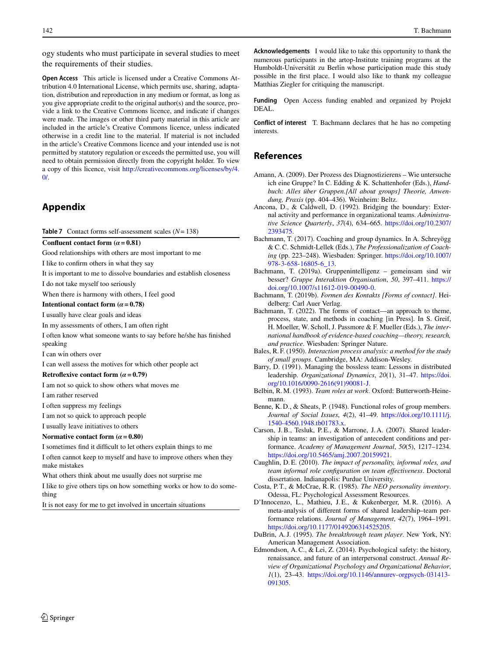ogy students who must participate in several studies to meet the requirements of their studies.

**Open Access** This article is licensed under a Creative Commons Attribution 4.0 International License, which permits use, sharing, adaptation, distribution and reproduction in any medium or format, as long as you give appropriate credit to the original author(s) and the source, provide a link to the Creative Commons licence, and indicate if changes were made. The images or other third party material in this article are included in the article's Creative Commons licence, unless indicated otherwise in a credit line to the material. If material is not included in the article's Creative Commons licence and your intended use is not permitted by statutory regulation or exceeds the permitted use, you will need to obtain permission directly from the copyright holder. To view a copy of this licence, visit [http://creativecommons.org/licenses/by/4.](http://creativecommons.org/licenses/by/4.0/)  $\Omega$ 

# **Appendix**

**Table 7** Contact forms self-assessment scales (*N*= 138)

#### **Confluent contact form**  $(a = 0.81)$

Good relationships with others are most important to me

I like to confirm others in what they say

It is important to me to dissolve boundaries and establish closeness

I do not take myself too seriously

When there is harmony with others, I feel good

**Intentional contact form (** $\alpha$  **= 0.78)** 

I usually have clear goals and ideas

In my assessments of others, I am often right

I often know what someone wants to say before he/she has finished speaking

I can win others over

I can well assess the motives for which other people act

#### **Retroflexive contact form**  $(a = 0.79)$

I am not so quick to show others what moves me

I am rather reserved

I often suppress my feelings

I am not so quick to approach people

I usually leave initiatives to others

#### **Normative contact form**  $(a = 0.80)$

I sometimes find it difficult to let others explain things to me

I often cannot keep to myself and have to improve others when they make mistakes

What others think about me usually does not surprise me

I like to give others tips on how something works or how to do something

It is not easy for me to get involved in uncertain situations

**Acknowledgements** I would like to take this opportunity to thank the numerous participants in the artop-Institute training programs at the Humboldt-Universität zu Berlin whose participation made this study possible in the first place. I would also like to thank my colleague Matthias Ziegler for critiquing the manuscript.

**Funding** Open Access funding enabled and organized by Projekt DEAL.

**Conflict of interest** T. Bachmann declares that he has no competing interests.

### **References**

- <span id="page-11-4"></span>Amann, A. (2009). Der Prozess des Diagnostizierens – Wie untersuche ich eine Gruppe? In C. Edding & K. Schattenhofer (Eds.), *Handbuch: Alles über Gruppen.[All about groups] Theorie, Anwendung, Praxis* (pp. 404–436). Weinheim: Beltz.
- <span id="page-11-6"></span>Ancona, D., & Caldwell, D. (1992). Bridging the boundary: External activity and performance in organizational teams. *Administrative Science Quarterly*, *37*(4), 634–665. [https://doi.org/10.2307/](https://doi.org/10.2307/2393475) [2393475.](https://doi.org/10.2307/2393475)
- <span id="page-11-12"></span>Bachmann, T. (2017). Coaching and group dynamics. In A. Schreyögg & C.C. Schmidt-Lellek (Eds.), *The Professionalization of Coaching* (pp. 223–248). Wiesbaden: Springer. [https://doi.org/10.1007/](https://doi.org/10.1007/978-3-658-16805-6_13) [978-3-658-16805-6\\_13.](https://doi.org/10.1007/978-3-658-16805-6_13)
- <span id="page-11-0"></span>Bachmann, T. (2019a). Gruppenintelligenz – gemeinsam sind wir besser? *Gruppe Interaktion Organisation*, *50*, 397–411. [https://](https://doi.org/10.1007/s11612-019-00490-0) [doi.org/10.1007/s11612-019-00490-0.](https://doi.org/10.1007/s11612-019-00490-0)
- <span id="page-11-14"></span>Bachmann, T. (2019b). *Formen des Kontakts [Forms of contact]*. Heidelberg: Carl Auer Verlag.
- <span id="page-11-15"></span>Bachmann, T. (2022). The forms of contact—an approach to theme, process, state, and methods in coaching [in Press]. In S. Greif, H. Moeller, W. Scholl, J. Passmore & F. Mueller (Eds.), *The international handbook of evidence-based coaching—theory, research, and practice*. Wiesbaden: Springer Nature.
- <span id="page-11-7"></span>Bales, R. F. (1950). *Interaction process analysis: a method for the study of small groups*. Cambridge, MA: Addison-Wesley.
- <span id="page-11-3"></span>Barry, D. (1991). Managing the bossless team: Lessons in distributed leadership. *Organizational Dynamics*, *20*(1), 31–47. [https://doi.](https://doi.org/10.1016/0090-2616(91)90081-J) [org/10.1016/0090-2616\(91\)90081-J.](https://doi.org/10.1016/0090-2616(91)90081-J)
- <span id="page-11-8"></span>Belbin, R.M. (1993). *Team roles at work*. Oxford: Butterworth-Heinemann.
- <span id="page-11-9"></span>Benne, K. D., & Sheats, P. (1948). Functional roles of group members. *Journal of Social Issues*, *4*(2), 41–49. [https://doi.org/10.1111/j.](https://doi.org/10.1111/j.1540-4560.1948.tb01783.x) [1540-4560.1948.tb01783.x.](https://doi.org/10.1111/j.1540-4560.1948.tb01783.x)
- <span id="page-11-1"></span>Carson, J.B., Tesluk, P.E., & Marrone, J.A. (2007). Shared leadership in teams: an investigation of antecedent conditions and performance. *Academy of Management Journal*, *50*(5), 1217–1234. [https://doi.org/10.5465/amj.2007.20159921.](https://doi.org/10.5465/amj.2007.20159921)
- <span id="page-11-11"></span>Caughlin, D. E. (2010). *The impact of personality, informal roles, and team informal role configuration on team effectiveness*. Doctoral dissertation. Indianapolis: Purdue University.
- <span id="page-11-13"></span>Costa, P. T., & McCrae, R.R. (1985). *The NEO personality inventory*. Odessa, FL: Psychological Assessment Resources.
- <span id="page-11-2"></span>D'Innocenzo, L., Mathieu, J. E., & Kukenberger, M.R. (2016). A meta-analysis of different forms of shared leadership–team performance relations. *Journal of Management*, *42*(7), 1964–1991. [https://doi.org/10.1177/0149206314525205.](https://doi.org/10.1177/0149206314525205)
- <span id="page-11-10"></span>DuBrin, A. J. (1995). *The breakthrough team player*. New York, NY: American Management Association.
- <span id="page-11-5"></span>Edmondson, A.C., & Lei, Z. (2014). Psychological safety: the history, renaissance, and future of an interpersonal construct. *Annual Review of Organizational Psychology and Organizational Behavior*, *1*(1), 23–43. [https://doi.org/10.1146/annurev-orgpsych-031413-](https://doi.org/10.1146/annurev-orgpsych-031413-091305) [091305.](https://doi.org/10.1146/annurev-orgpsych-031413-091305)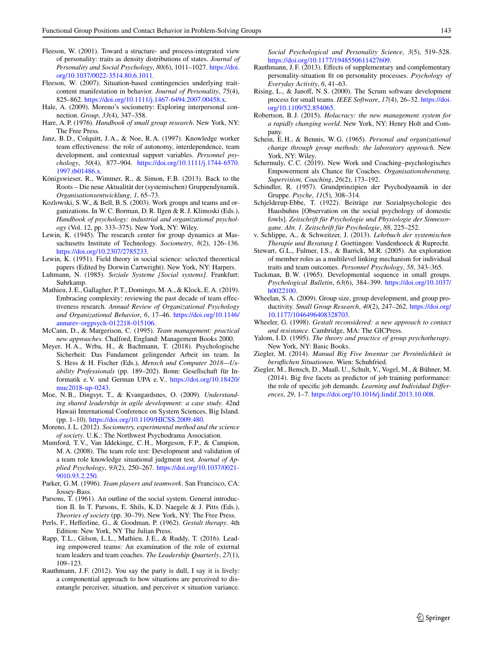- <span id="page-12-26"></span>Fleeson, W. (2001). Toward a structure- and process-integrated view of personality: traits as density distributions of states. *Journal of Personality and Social Psychology*, *80*(6), 1011–1027. [https://doi.](https://doi.org/10.1037/0022-3514.80.6.1011) [org/10.1037/0022-3514.80.6.1011.](https://doi.org/10.1037/0022-3514.80.6.1011)
- <span id="page-12-27"></span>Fleeson, W. (2007). Situation-based contingencies underlying traitcontent manifestation in behavior. *Journal of Personality*, *75*(4), 825–862. [https://doi.org/10.1111/j.1467-6494.2007.00458.x.](https://doi.org/10.1111/j.1467-6494.2007.00458.x)
- <span id="page-12-35"></span><span id="page-12-23"></span>Hale, A. (2009). Moreno's sociometry: Exploring interpersonal connection. *Group*, *33*(4), 347–358.
- <span id="page-12-10"></span>Hare, A. P. (1976). *Handbook of small group research*. New York, NY: The Free Press.
- Janz, B. D., Colquitt, J. A., & Noe, R. A. (1997). Knowledge worker team effectiveness: the role of autonomy, interdependence, team development, and contextual support variables. *Personnel psychology*, *50*(4), 877–904. [https://doi.org/10.1111/j.1744-6570.](https://doi.org/10.1111/j.1744-6570.1997.tb01486.x) [1997.tb01486.x.](https://doi.org/10.1111/j.1744-6570.1997.tb01486.x)
- <span id="page-12-0"></span>Königswieser, R., Wimmer, R., & Simon, F.B. (2013). Back to the Roots – Die neue Aktualität der (systemischen) Gruppendynamik. *Organisationsentwicklung*, *1*, 65–73.
- <span id="page-12-1"></span>Kozlowski, S.W., & Bell, B. S. (2003). Work groups and teams and organizations. In W.C. Borman, D.R. Ilgen & R. J. Klimoski (Eds.), *Handbook of psychology: industrial and organizational psychology* (Vol. 12, pp. 333–375). New York, NY: Wiley.
- <span id="page-12-12"></span>Lewin, K. (1945). The research center for group dynamics at Massachusetts Institute of Technology. *Sociometry*, *8*(2), 126–136. [https://doi.org/10.2307/2785233.](https://doi.org/10.2307/2785233)
- <span id="page-12-25"></span><span id="page-12-18"></span>Lewin, K. (1951). Field theory in social science: selected theoretical papers (Edited by Dorwin Cartwright). New York, NY: Harpers.
- <span id="page-12-6"></span>Luhmann, N. (1985). *Soziale Systeme [Social systems]*. Frankfurt: Suhrkamp.
- Mathieu, J. E., Gallagher, P. T., Domingo, M. A., & Klock, E. A. (2019). Embracing complexity: reviewing the past decade of team effectiveness research. *Annual Review of Organizational Psychology and Organizational Behavior*, *6*, 17–46. [https://doi.org/10.1146/](https://doi.org/10.1146/annurev-orgpsych-012218-015106) [annurev-orgpsych-012218-015106.](https://doi.org/10.1146/annurev-orgpsych-012218-015106)
- <span id="page-12-20"></span><span id="page-12-15"></span>McCann, D., & Margerison, C. (1995). *Team management: practical new approaches*. Chalford, England: Management Books 2000.
- Meyer, H. A., Wrba, H., & Bachmann, T. (2018). Psychologische Sicherheit: Das Fundament gelingender Arbeit im team. In S. Hess & H. Fischer (Eds.), *Mensch und Computer 2018—Usability Professionals* (pp. 189–202). Bonn: Gesellschaft für Informatik e. V. und German UPA e. V.. [https://doi.org/10.18420/](https://doi.org/10.18420/muc2018-up-0243) [muc2018-up-0243.](https://doi.org/10.18420/muc2018-up-0243)
- <span id="page-12-11"></span>Moe, N.B., Dingsyr, T., & Kvangardsnes, O. (2009). *Understanding shared leadership in agile development: a case study*. 42nd Hawaii International Conference on System Sciences, Big Island. (pp. 1–10). [https://doi.org/10.1109/HICSS.2009.480.](https://doi.org/10.1109/HICSS.2009.480)
- <span id="page-12-13"></span>Moreno, J. L. (2012). *Sociometry, experimental method and the science of society*. U.K.: The Northwest Psychodrama Association.
- <span id="page-12-22"></span>Mumford, T. V., Van Iddekinge, C. H., Morgeson, F. P., & Campion, M. A. (2008). The team role test: Development and validation of a team role knowledge situational judgment test. *Journal of Applied Psychology*, *93*(2), 250–267. [https://doi.org/10.1037/0021-](https://doi.org/10.1037/0021-9010.93.2.250) [9010.93.2.250.](https://doi.org/10.1037/0021-9010.93.2.250)
- <span id="page-12-24"></span><span id="page-12-21"></span>Parker, G.M. (1996). *Team players and teamwork*. San Francisco, CA: Jossey-Bass.
- Parsons, T. (1961). An outline of the social system. General introduction II. In T. Parsons, E. Shils, K. D. Naegele & J. Pitts (Eds.), *Theories of society* (pp. 30–79). New York, NY: The Free Press.
- <span id="page-12-33"></span>Perls, F., Hefferline, G., & Goodman, P. (1962). *Gestalt therapy*. 4th Edition: New York, NY The Julian Press.
- <span id="page-12-2"></span>Rapp, T. L., Gilson, L. L., Mathieu, J. E., & Ruddy, T. (2016). Leading empowered teams: An examination of the role of external team leaders and team coaches. *The Leadership Quarterly*, *27*(1), 109–123.
- <span id="page-12-28"></span>Rauthmann, J.F. (2012). You say the party is dull, I say it is lively: a componential approach to how situations are perceived to disentangle perceiver, situation, and perceiver × situation variance.

*Social Psychological and Personality Science*, *3*(5), 519–528. [https://doi.org/10.1177/1948550611427609.](https://doi.org/10.1177/1948550611427609)

- <span id="page-12-29"></span>Rauthmann, J. F. (2013). Effects of supplementary and complementary personality-situation fit on personality processes. *Psychology of Everyday Activity*, *6*, 41–63.
- <span id="page-12-4"></span>Rising, L., & Janoff, N. S. (2000). The Scrum software development process for small teams. *IEEE Software*, *17*(4), 26–32. [https://doi.](https://doi.org/10.1109/52.854065) [org/10.1109/52.854065.](https://doi.org/10.1109/52.854065)
- <span id="page-12-5"></span>Robertson, B. J. (2015). *Holacracy: the new management system for a rapidly changing world*. New York, NY: Henry Holt and Company.
- <span id="page-12-16"></span>Schein, E. H., & Bennis, W. G. (1965). *Personal and organizational change through group methods: the laboratory approach*. New York, NY: Wiley.
- <span id="page-12-3"></span>Schermuly, C.C. (2019). New Work und Coaching–psychologisches Empowerment als Chance für Coaches. *Organisationsberatung, Supervision, Coaching*, *26*(2), 173–192.
- <span id="page-12-17"></span><span id="page-12-9"></span>Schindler, R. (1957). Grundprinzipien der Psychodynamik in der Gruppe. *Psyche*, *11*(5), 308–314.
- Schjelderup-Ebbe, T. (1922). Beiträge zur Sozialpsychologie des Haushuhns [Observation on the social psychology of domestic fowls]. *Zeitschrift für Psychologie und Physiologie der Sinnesorgane. Abt. 1. Zeitschrift für Psychologie*, *88*, 225–252.
- <span id="page-12-32"></span><span id="page-12-19"></span>v. Schlippe, A., & Schweitzer, J. (2013). *Lehrbuch der systemischen Therapie und Beratung I*. Goettingen: Vandenhoeck & Ruprecht.
- Stewart, G.L., Fulmer, I.S., & Barrick, M.R. (2005). An exploration of member roles as a multilevel linking mechanism for individual traits and team outcomes. *Personnel Psychology*, *58*, 343–365.
- <span id="page-12-7"></span>Tuckman, B.W. (1965). Developmental sequence in small groups. *Psychological Bulletin*, *63*(6), 384–399. [https://doi.org/10.1037/](https://doi.org/10.1037/h0022100) [h0022100.](https://doi.org/10.1037/h0022100)
- <span id="page-12-8"></span>Wheelan, S. A. (2009). Group size, group development, and group productivity. *Small Group Research*, *40*(2), 247–262. [https://doi.org/](https://doi.org/10.1177/1046496408328703) [10.1177/1046496408328703.](https://doi.org/10.1177/1046496408328703)
- <span id="page-12-34"></span>Wheeler, G. (1998). *Gestalt reconsidered: a new approach to contact and resistance*. Cambridge, MA: The GICPress.
- <span id="page-12-14"></span>Yalom, I. D. (1995). *The theory and practice of group psychotherapy*. New York, NY: Basic Books.
- <span id="page-12-30"></span>Ziegler, M. (2014). *Manual Big Five Inventar zur Persönlichkeit in beruflichen Situationen*. Wien: Schuhfried.
- <span id="page-12-31"></span>Ziegler, M., Bensch, D., Maaß, U., Schult, V., Vogel, M., & Bühner, M. (2014). Big five facets as predictor of job training performance: the role of specific job demands. *Learning and Individual Differences*, *29*, 1–7. [https://doi.org/10.1016/j.lindif.2013.10.008.](https://doi.org/10.1016/j.lindif.2013.10.008)